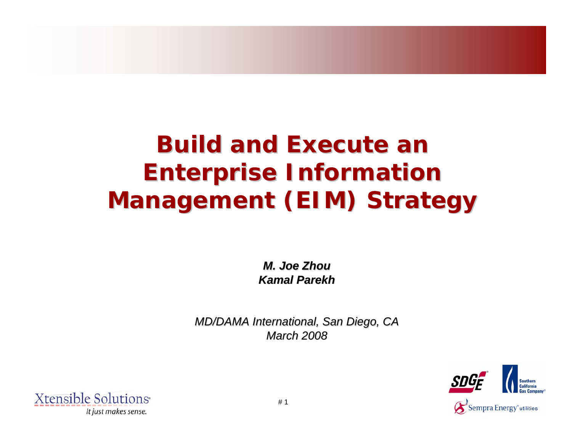# **Build and Execute an Enterprise Information Enterprise Information Management (EIM) Strategy**

*M. Joe Zhou M. Joe ZhouKamal Parekh Kamal Parekh*

*MD/DAMA International, San Diego, CA MD/DAMA International, San Diego, CA March 2008 March 2008* 



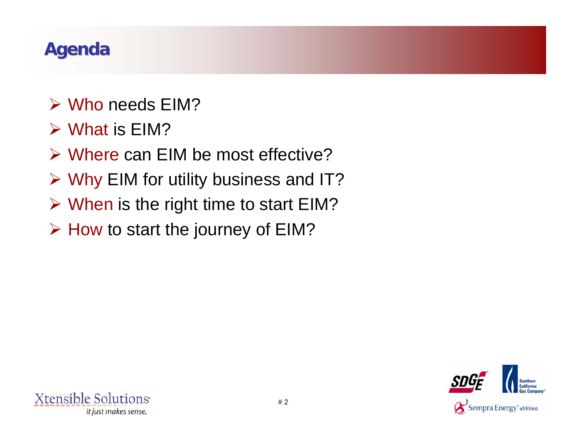# **Agenda**

- ¾ Who needs EIM?
- $\triangleright$  What is EIM?
- ¾ Where can EIM be most effective?
- ¾ Why EIM for utility business and IT?
- ¾ When is the right time to start EIM?
- ¾ How to start the journey of EIM?

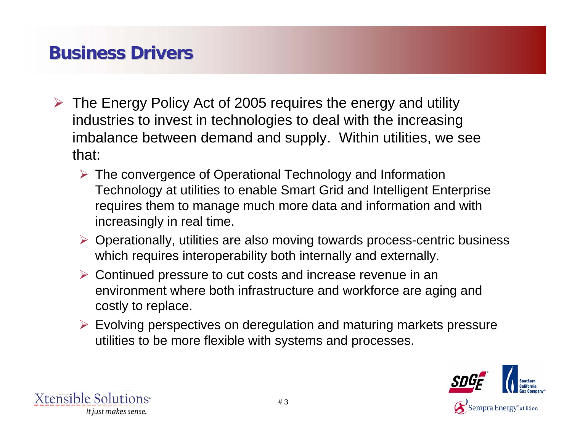### **Business Drivers Business Drivers**

- ¾ The Energy Policy Act of 2005 requires the energy and utility industries to invest in technologies to deal with the increasing imbalance between demand and supply. Within utilities, we see that:
	- ¾ The convergence of Operational Technology and Information Technology at utilities to enable Smart Grid and Intelligent Enterprise requires them to manage much more data and information and with increasingly in real time.
	- ¾ Operationally, utilities are also moving towards process-centric business which requires interoperability both internally and externally.
	- ¾ Continued pressure to cut costs and increase revenue in an environment where both infrastructure and workforce are aging and costly to replace.
	- $\triangleright$  Evolving perspectives on deregulation and maturing markets pressure utilities to be more flexible with systems and processes.



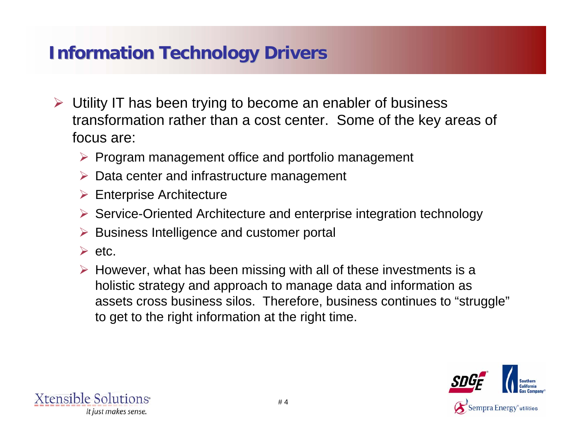### **Information Technology Drivers Information Technology Drivers**

- ¾ Utility IT has been trying to become an enabler of business transformation rather than a cost center. Some of the key areas of focus are:
	- ¾ Program management office and portfolio management
	- $\triangleright$  Data center and infrastructure management
	- $\triangleright$  Enterprise Architecture
	- ¾ Service-Oriented Architecture and enterprise integration technology
	- **▶ Business Intelligence and customer portal**
	- $\triangleright$  etc.
	- $\triangleright$  However, what has been missing with all of these investments is a holistic strategy and approach to manage data and information as assets cross business silos. Therefore, business continues to "struggle" to get to the right information at the right time.



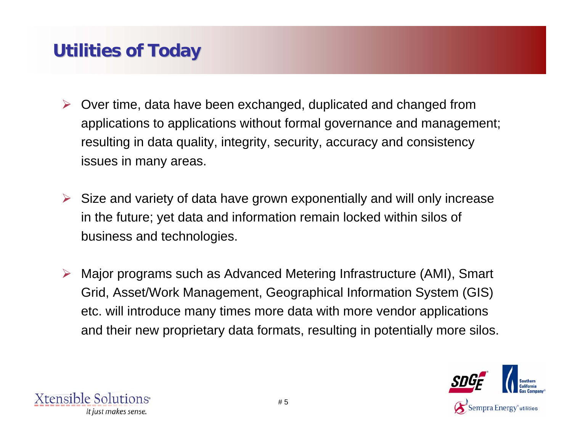### **Utilities of Today Utilities of Today**

- ¾ Over time, data have been exchanged, duplicated and changed from applications to applications without formal governance and management; resulting in data quality, integrity, security, accuracy and consistency issues in many areas.
- $\triangleright$  Size and variety of data have grown exponentially and will only increase in the future; yet data and information remain locked within silos of business and technologies.
- ¾ Major programs such as Advanced Metering Infrastructure (AMI), Smart Grid, Asset/Work Management, Geographical Information System (GIS) etc. will introduce many times more data with more vendor applications and their new proprietary data formats, resulting in potentially more silos.



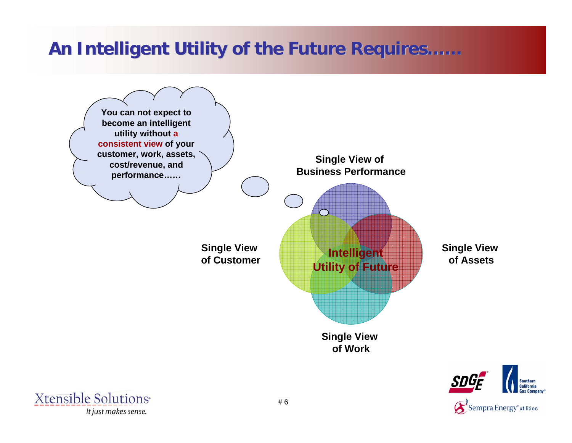### **An Intelligent Utility of the Future Requires An Intelligent Utility of the Future Requires……**



Xtensible Solutions<sup>®</sup> It just makes sense.

Sempra Energy<sup>\*</sup>utilities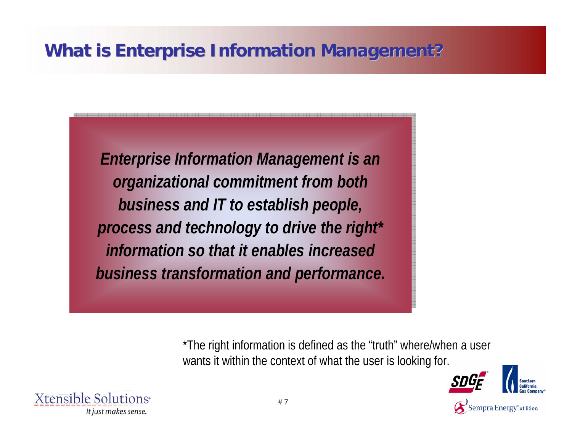# **What is Enterprise Information Management? What is Enterprise Information Management?**

*Enterprise Information Management is an Enterprise Information Management is an organizational commitment from both organizational commitment from both business and IT to establish people, business and IT to establish people, process and technology to drive the right\* process and technology to drive the right\* information so that it enables increased information so that it enables increased business transformation and performance. business transformation and performance.*

> \*The right information is defined as the "truth" where/when a user wants it within the context of what the user is looking for.



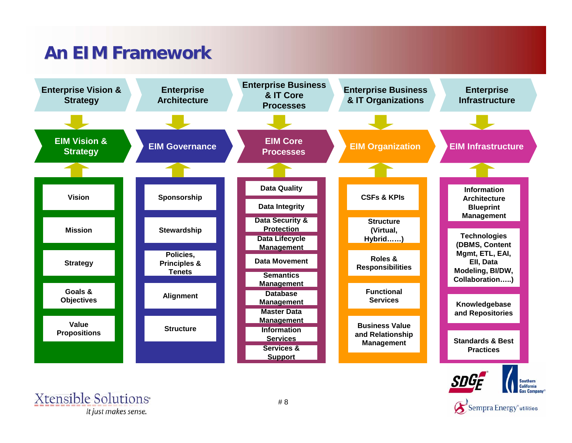# **An EIM Framework An EIM Framework**



Sempra Energy<sup>®</sup>utilities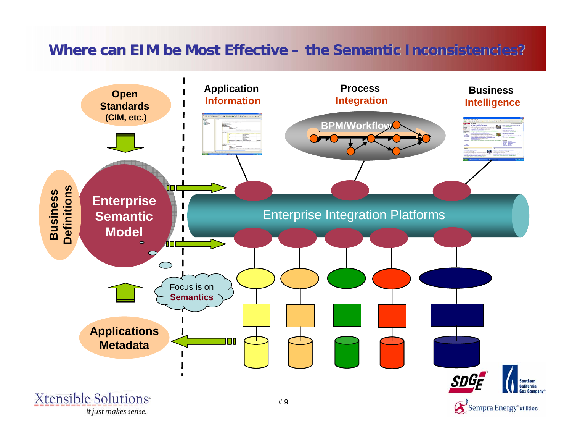### **Where can EIM be Most Effective Where can EIM be Most Effective – the Semantic Inconsistencies? the Semantic Inconsistencies?**

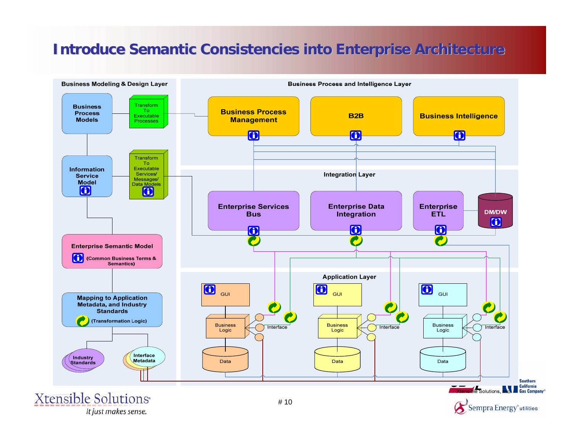### **Introduce Semantic Consistencies into Enterprise Architecture**



It just makes sense.

Sempra Energy<sup>®</sup>utilities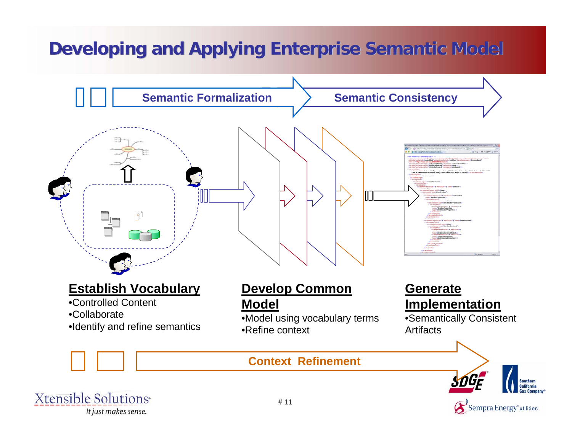# **Developing and Applying Enterprise Semantic Model**





Sempra Energy<sup>®</sup>utilities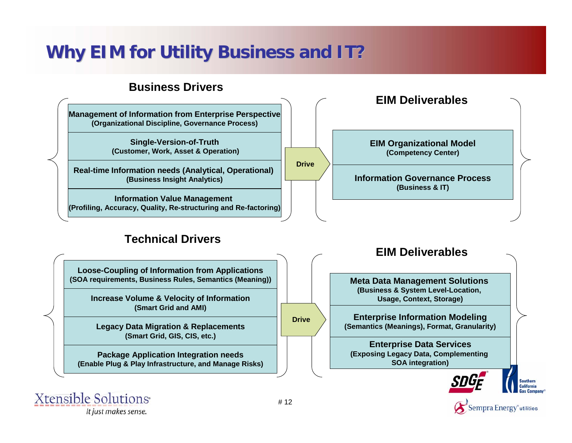### **Why EIM for Utility Business and IT?**

**Drive**

#### **Business Drivers**

**Management of Information from Enterprise Perspective (Organizational Discipline, Governance Process)**

> **Single-Version-of-Truth (Customer, Work, Asset & Operation)**

**Real-time Information needs (Analytical, Operational) (Business Insight Analytics)**

**Information Value Management (Profiling, Accuracy, Quality, Re-structuring and Re-factoring)**

#### **Technical Drivers**

**Loose-Coupling of Information from Applications (SOA requirements, Business Rules, Semantics (Meaning))**

> **Increase Volume & Velocity of Information (Smart Grid and AMI)**

**Legacy Data Migration & Replacements (Smart Grid, GIS, CIS, etc.)**

**Package Application Integration needs (Enable Plug & Play Infrastructure, and Manage Risks)**



**Information Governance Process**

**EIM Organizational Model (Competency Center)**

**EIM Deliverables**

**Xtensible Solutions** It just makes sense.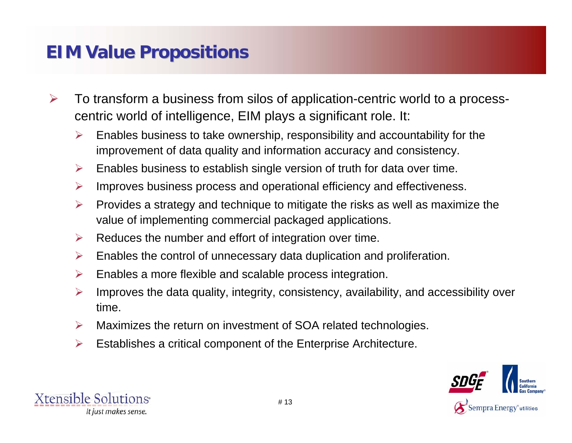### **EIM Value Propositions**

- ¾ To transform a business from silos of application-centric world to a processcentric world of intelligence, EIM plays a significant role. It:
	- ¾ Enables business to take ownership, responsibility and accountability for the improvement of data quality and information accuracy and consistency.
	- ¾Enables business to establish single version of truth for data over time.
	- $\blacktriangleright$ Improves business process and operational efficiency and effectiveness.
	- $\blacktriangleright$  Provides a strategy and technique to mitigate the risks as well as maximize the value of implementing commercial packaged applications.
	- ¾Reduces the number and effort of integration over time.
	- $\blacktriangleright$ Enables the control of unnecessary data duplication and proliferation.
	- ¾Enables a more flexible and scalable process integration.
	- $\blacktriangleright$  Improves the data quality, integrity, consistency, availability, and accessibility over time.
	- $\triangleright$ Maximizes the return on investment of SOA related technologies.
	- ¾Establishes a critical component of the Enterprise Architecture.



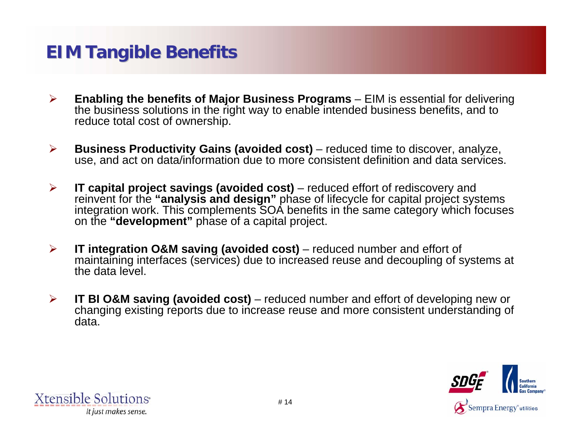### **EIM Tangible Benefits**

- $\blacktriangleright$  **Enabling the benefits of Major Business Programs** – EIM is essential for delivering the business solutions in the right way to enable intended business benefits, and to reduce total cost of ownership.
- $\blacktriangleright$  **Business Productivity Gains (avoided cost)** – reduced time to discover, analyze, use, and act on data/information due to more consistent definition and data services.
- ¾ **IT capital project savings (avoided cost)** – reduced effort of rediscovery and reinvent for the **"analysis and design"** phase of lifecycle for capital project systems integration work. This complements SOA benefits in the same category which focuses on the **"development"** phase of a capital project.
- $\blacktriangleright$  **IT integration O&M saving (avoided cost)** – reduced number and effort of maintaining interfaces (services) due to increased reuse and decoupling of systems at the data level.
- $\blacktriangleright$  **IT BI O&M saving (avoided cost)** – reduced number and effort of developing new or changing existing reports due to increase reuse and more consistent understanding of data.



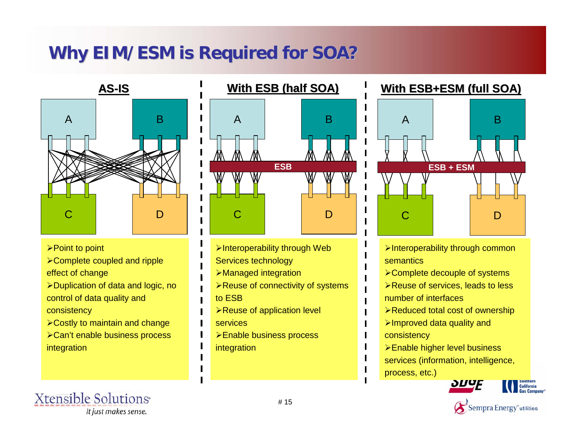### **Why EIM/ESM is Required for SOA? Why EIM/ESM is Required for SOA?**



- ¾Point to point
- ¾Complete coupled and ripple effect of change
- ¾Duplication of data and logic, no control of data quality and consistency
- ¾Costly to maintain and change
- ¾Can't enable business process integration

#### **Xtensible Solutions** It just makes sense.



- ¾Interoperability through Web Services technology
- ¾Managed integration
- ¾Reuse of connectivity of systems
- to ESB
- **≻Reuse of application level**
- services
- ¾Enable business process integration

### **With ESB+ESM (full SOA) With ESB+ESM (full SOA)**



- ¾Interoperability through common semantics
- ¾Complete decouple of systems
- **≻Reuse of services, leads to less** number of interfaces
- ¾Reduced total cost of ownership
- ¾Improved data quality and consistency
- ¾Enable higher level business services (information, intelligence, process, etc.)





**California**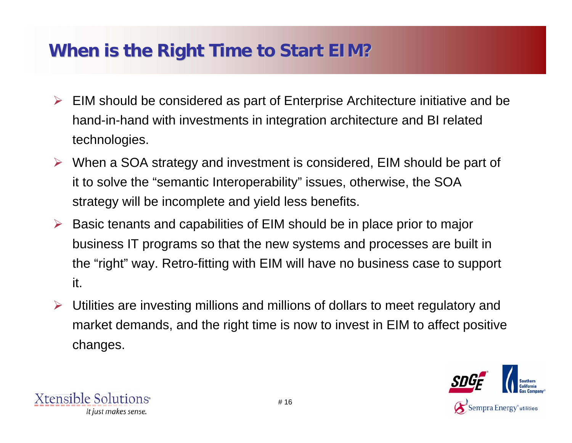### **When is the Right Time to Start EIM? When is the Right Time to Start EIM?**

- $\triangleright$  EIM should be considered as part of Enterprise Architecture initiative and be hand-in-hand with investments in integration architecture and BI related technologies.
- ¾ When a SOA strategy and investment is considered, EIM should be part of it to solve the "semantic Interoperability" issues, otherwise, the SOA strategy will be incomplete and yield less benefits.
- ¾ Basic tenants and capabilities of EIM should be in place prior to major business IT programs so that the new systems and processes are built in the "right" way. Retro-fitting with EIM will have no business case to support it.
- ¾ Utilities are investing millions and millions of dollars to meet regulatory and market demands, and the right time is now to invest in EIM to affect positive changes.



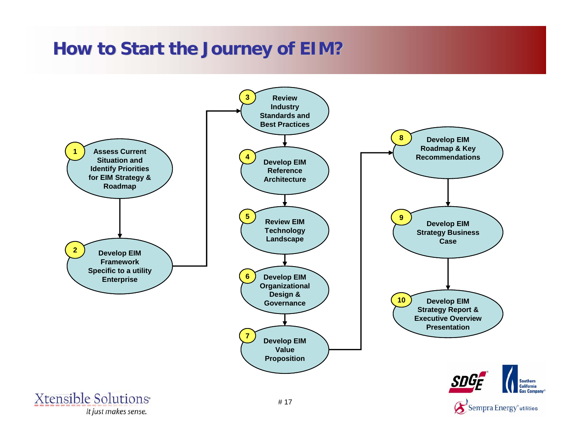### **How to Start the Journey of EIM?**

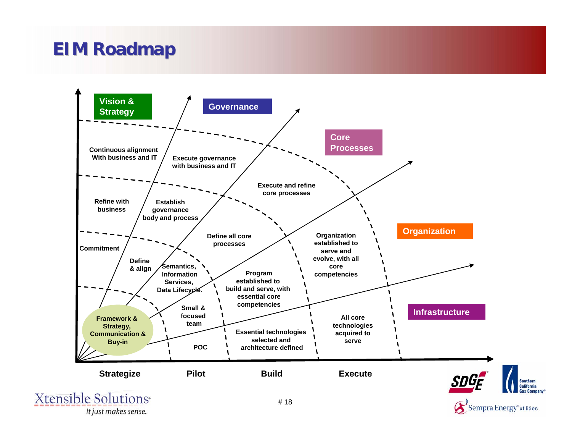### **EIM Roadmap EIM Roadmap**



It just makes sense.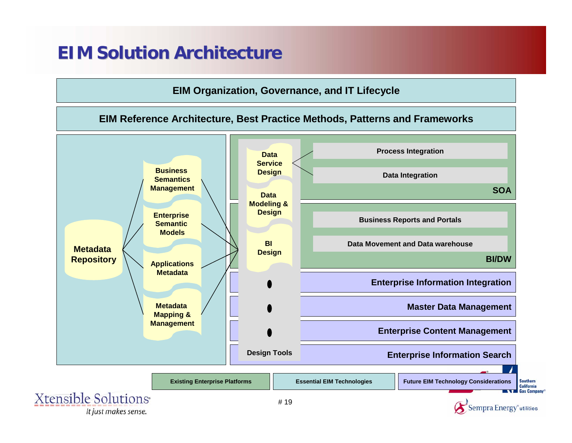### **EIM Solution Architecture EIM Solution Architecture**





It just makes sense.

**Southern** California Gas Comp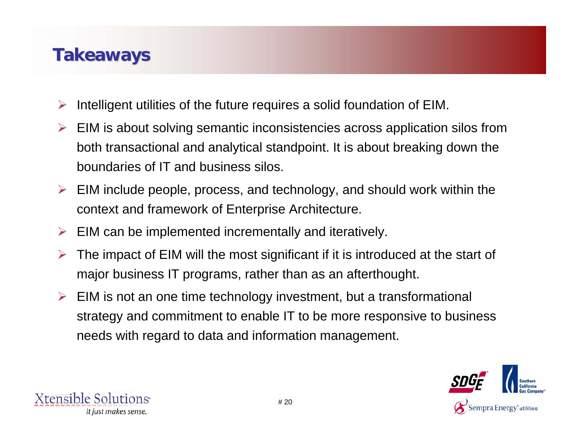### **Takeaways Takeaways**

- ¾Intelligent utilities of the future requires a solid foundation of EIM.
- ¾ EIM is about solving semantic inconsistencies across application silos from both transactional and analytical standpoint. It is about breaking down the boundaries of IT and business silos.
- $\triangleright$  EIM include people, process, and technology, and should work within the context and framework of Enterprise Architecture.
- $\triangleright$  EIM can be implemented incrementally and iteratively.
- ¾ The impact of EIM will the most significant if it is introduced at the start of major business IT programs, rather than as an afterthought.
- $\triangleright$  EIM is not an one time technology investment, but a transformational strategy and commitment to enable IT to be more responsive to business needs with regard to data and information management.

![](_page_19_Picture_7.jpeg)